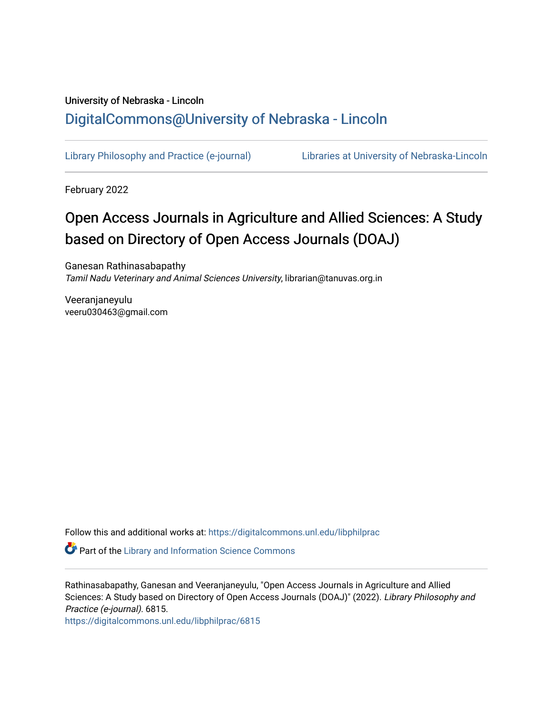# University of Nebraska - Lincoln [DigitalCommons@University of Nebraska - Lincoln](https://digitalcommons.unl.edu/)

[Library Philosophy and Practice \(e-journal\)](https://digitalcommons.unl.edu/libphilprac) [Libraries at University of Nebraska-Lincoln](https://digitalcommons.unl.edu/libraries) 

February 2022

# Open Access Journals in Agriculture and Allied Sciences: A Study based on Directory of Open Access Journals (DOAJ)

Ganesan Rathinasabapathy Tamil Nadu Veterinary and Animal Sciences University, librarian@tanuvas.org.in

Veeranjaneyulu veeru030463@gmail.com

Follow this and additional works at: [https://digitalcommons.unl.edu/libphilprac](https://digitalcommons.unl.edu/libphilprac?utm_source=digitalcommons.unl.edu%2Flibphilprac%2F6815&utm_medium=PDF&utm_campaign=PDFCoverPages) 

Part of the [Library and Information Science Commons](http://network.bepress.com/hgg/discipline/1018?utm_source=digitalcommons.unl.edu%2Flibphilprac%2F6815&utm_medium=PDF&utm_campaign=PDFCoverPages) 

Rathinasabapathy, Ganesan and Veeranjaneyulu, "Open Access Journals in Agriculture and Allied Sciences: A Study based on Directory of Open Access Journals (DOAJ)" (2022). Library Philosophy and Practice (e-journal). 6815.

[https://digitalcommons.unl.edu/libphilprac/6815](https://digitalcommons.unl.edu/libphilprac/6815?utm_source=digitalcommons.unl.edu%2Flibphilprac%2F6815&utm_medium=PDF&utm_campaign=PDFCoverPages)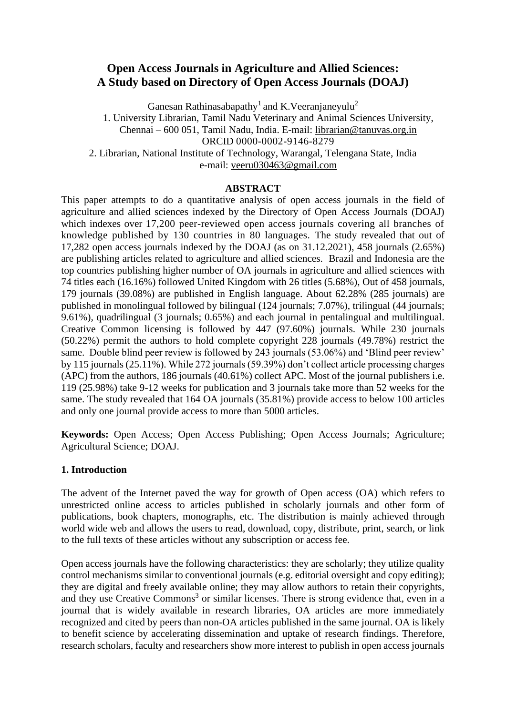# **Open Access Journals in Agriculture and Allied Sciences: A Study based on Directory of Open Access Journals (DOAJ)**

Ganesan Rathinasabapathy<sup>1</sup> and K.Veeranjaneyulu<sup>2</sup>

1. University Librarian, Tamil Nadu Veterinary and Animal Sciences University, Chennai – 600 051, Tamil Nadu, India. E-mail: [librarian@tanuvas.org.in](mailto:librarian@tanuvas.org.in) ORCID 0000-0002-9146-8279 2. Librarian, National Institute of Technology, Warangal, Telengana State, India

e-mail: [veeru030463@gmail.com](mailto:veeru030463@gmail.com)

#### **ABSTRACT**

This paper attempts to do a quantitative analysis of open access journals in the field of agriculture and allied sciences indexed by the Directory of Open Access Journals (DOAJ) which indexes over 17,200 peer-reviewed open access journals covering all branches of knowledge published by 130 countries in 80 languages. The study revealed that out of 17,282 open access journals indexed by the DOAJ (as on 31.12.2021), 458 journals (2.65%) are publishing articles related to agriculture and allied sciences. Brazil and Indonesia are the top countries publishing higher number of OA journals in agriculture and allied sciences with 74 titles each (16.16%) followed United Kingdom with 26 titles (5.68%), Out of 458 journals, 179 journals (39.08%) are published in English language. About 62.28% (285 journals) are published in monolingual followed by bilingual (124 journals; 7.07%), trilingual (44 journals; 9.61%), quadrilingual (3 journals; 0.65%) and each journal in pentalingual and multilingual. Creative Common licensing is followed by 447 (97.60%) journals. While 230 journals (50.22%) permit the authors to hold complete copyright 228 journals (49.78%) restrict the same. Double blind peer review is followed by 243 journals (53.06%) and 'Blind peer review' by 115 journals (25.11%). While 272 journals (59.39%) don't collect article processing charges (APC) from the authors, 186 journals (40.61%) collect APC. Most of the journal publishers i.e. 119 (25.98%) take 9-12 weeks for publication and 3 journals take more than 52 weeks for the same. The study revealed that 164 OA journals (35.81%) provide access to below 100 articles and only one journal provide access to more than 5000 articles.

**Keywords:** Open Access; Open Access Publishing; Open Access Journals; Agriculture; Agricultural Science; DOAJ.

#### **1. Introduction**

The advent of the Internet paved the way for growth of Open access (OA) which refers to unrestricted online access to articles published in scholarly journals and other form of publications, book chapters, monographs, etc. The distribution is mainly achieved through world wide web and allows the users to read, download, copy, distribute, print, search, or link to the full texts of these articles without any subscription or access fee.

Open access journals have the following characteristics: they are scholarly; they utilize quality control mechanisms similar to conventional journals (e.g. editorial oversight and copy editing); they are digital and freely available online; they may allow authors to retain their copyrights, and they use Creative Commons<sup>3</sup> or similar licenses. There is strong evidence that, even in a journal that is widely available in research libraries, OA articles are more immediately recognized and cited by peers than non-OA articles published in the same journal. OA is likely to benefit science by accelerating dissemination and uptake of research findings. Therefore, research scholars, faculty and researchers show more interest to publish in open access journals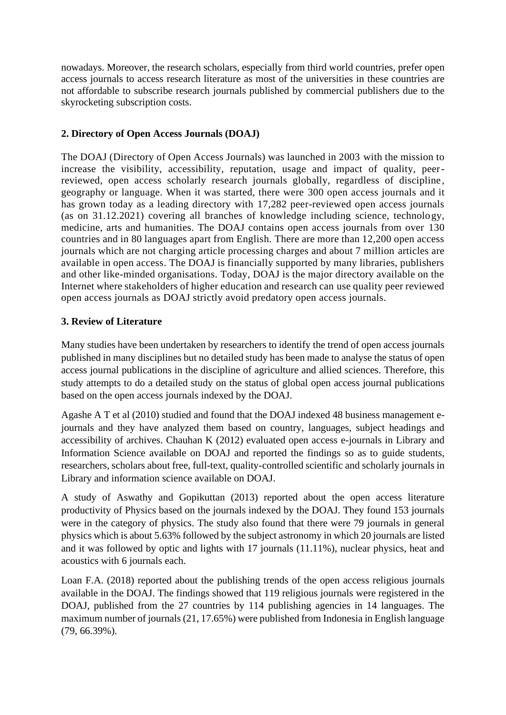nowadays. Moreover, the research scholars, especially from third world countries, prefer open access journals to access research literature as most of the universities in these countries are not affordable to subscribe research journals published by commercial publishers due to the skyrocketing subscription costs.

### **2. Directory of Open Access Journals (DOAJ)**

The DOAJ (Directory of Open Access Journals) was launched in 2003 with the mission to increase the visibility, accessibility, reputation, usage and impact of quality, peerreviewed, open access scholarly research journals globally, regardless of discipline , geography or language. When it was started, there were 300 open access journals and it has grown today as a leading directory with 17,282 peer-reviewed open access journals (as on 31.12.2021) covering all branches of knowledge including science, technology, medicine, arts and humanities. The DOAJ contains open access journals from over 130 countries and in 80 languages apart from English. There are more than 12,200 open access journals which are not charging article processing charges and about 7 million articles are available in open access. The DOAJ is financially supported by many libraries, publishers and other like-minded organisations. Today, DOAJ is the major directory available on the Internet where stakeholders of higher education and research can use quality peer reviewed open access journals as DOAJ strictly avoid predatory open access journals.

# **3. Review of Literature**

Many studies have been undertaken by researchers to identify the trend of open access journals published in many disciplines but no detailed study has been made to analyse the status of open access journal publications in the discipline of agriculture and allied sciences. Therefore, this study attempts to do a detailed study on the status of global open access journal publications based on the open access journals indexed by the DOAJ.

Agashe A T et al (2010) studied and found that the DOAJ indexed 48 business management ejournals and they have analyzed them based on country, languages, subject headings and accessibility of archives. Chauhan K (2012) evaluated open access e-journals in Library and Information Science available on DOAJ and reported the findings so as to guide students, researchers, scholars about free, full-text, quality-controlled scientific and scholarly journals in Library and information science available on DOAJ.

A study of Aswathy and Gopikuttan (2013) reported about the open access literature productivity of Physics based on the journals indexed by the DOAJ. They found 153 journals were in the category of physics. The study also found that there were 79 journals in general physics which is about 5.63% followed by the subject astronomy in which 20 journals are listed and it was followed by optic and lights with 17 journals (11.11%), nuclear physics, heat and acoustics with 6 journals each.

Loan F.A. (2018) reported about the publishing trends of the open access religious journals available in the DOAJ. The findings showed that 119 religious journals were registered in the DOAJ, published from the 27 countries by 114 publishing agencies in 14 languages. The maximum number of journals (21, 17.65%) were published from Indonesia in English language (79, 66.39%).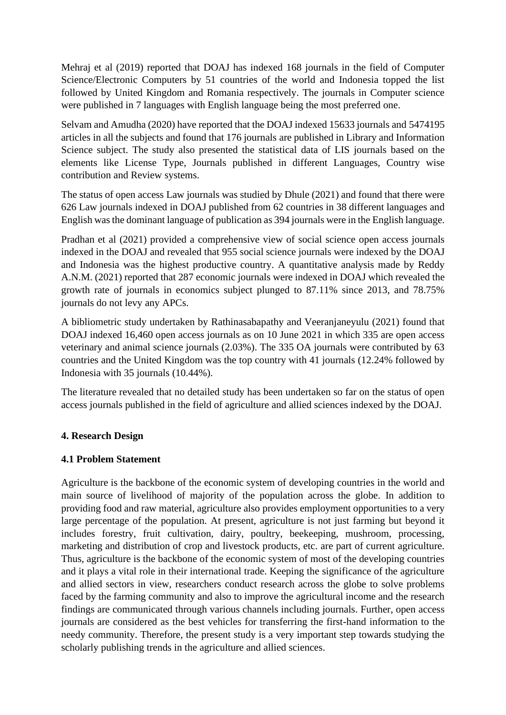Mehraj et al (2019) reported that DOAJ has indexed 168 journals in the field of Computer Science/Electronic Computers by 51 countries of the world and Indonesia topped the list followed by United Kingdom and Romania respectively. The journals in Computer science were published in 7 languages with English language being the most preferred one.

Selvam and Amudha (2020) have reported that the DOAJ indexed 15633 journals and 5474195 articles in all the subjects and found that 176 journals are published in Library and Information Science subject. The study also presented the statistical data of LIS journals based on the elements like License Type, Journals published in different Languages, Country wise contribution and Review systems.

The status of open access Law journals was studied by Dhule (2021) and found that there were 626 Law journals indexed in DOAJ published from 62 countries in 38 different languages and English wasthe dominant language of publication as 394 journals were in the English language.

Pradhan et al (2021) provided a comprehensive view of social science open access journals indexed in the DOAJ and revealed that 955 social science journals were indexed by the DOAJ and Indonesia was the highest productive country. A quantitative analysis made by Reddy A.N.M. (2021) reported that 287 economic journals were indexed in DOAJ which revealed the growth rate of journals in economics subject plunged to 87.11% since 2013, and 78.75% journals do not levy any APCs.

A bibliometric study undertaken by Rathinasabapathy and Veeranjaneyulu (2021) found that DOAJ indexed 16,460 open access journals as on 10 June 2021 in which 335 are open access veterinary and animal science journals (2.03%). The 335 OA journals were contributed by 63 countries and the United Kingdom was the top country with 41 journals (12.24% followed by Indonesia with 35 journals (10.44%).

The literature revealed that no detailed study has been undertaken so far on the status of open access journals published in the field of agriculture and allied sciences indexed by the DOAJ.

#### **4. Research Design**

#### **4.1 Problem Statement**

Agriculture is the backbone of the economic system of developing countries in the world and main source of livelihood of majority of the population across the globe. In addition to providing food and raw material, agriculture also provides employment opportunities to a very large percentage of the population. At present, agriculture is not just farming but beyond it includes forestry, fruit cultivation, dairy, poultry, beekeeping, mushroom, processing, marketing and distribution of crop and livestock products, etc. are part of current agriculture. Thus, agriculture is the backbone of the economic system of most of the developing countries and it plays a vital role in their international trade. Keeping the significance of the agriculture and allied sectors in view, researchers conduct research across the globe to solve problems faced by the farming community and also to improve the agricultural income and the research findings are communicated through various channels including journals. Further, open access journals are considered as the best vehicles for transferring the first-hand information to the needy community. Therefore, the present study is a very important step towards studying the scholarly publishing trends in the agriculture and allied sciences.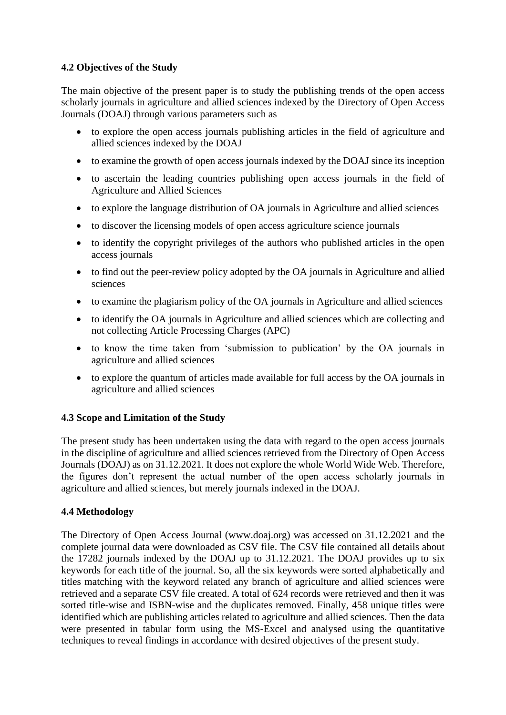# **4.2 Objectives of the Study**

The main objective of the present paper is to study the publishing trends of the open access scholarly journals in agriculture and allied sciences indexed by the Directory of Open Access Journals (DOAJ) through various parameters such as

- to explore the open access journals publishing articles in the field of agriculture and allied sciences indexed by the DOAJ
- to examine the growth of open access journals indexed by the DOAJ since its inception
- to ascertain the leading countries publishing open access journals in the field of Agriculture and Allied Sciences
- to explore the language distribution of OA journals in Agriculture and allied sciences
- to discover the licensing models of open access agriculture science journals
- to identify the copyright privileges of the authors who published articles in the open access journals
- to find out the peer-review policy adopted by the OA journals in Agriculture and allied sciences
- to examine the plagiarism policy of the OA journals in Agriculture and allied sciences
- to identify the OA journals in Agriculture and allied sciences which are collecting and not collecting Article Processing Charges (APC)
- to know the time taken from 'submission to publication' by the OA journals in agriculture and allied sciences
- to explore the quantum of articles made available for full access by the OA journals in agriculture and allied sciences

#### **4.3 Scope and Limitation of the Study**

The present study has been undertaken using the data with regard to the open access journals in the discipline of agriculture and allied sciences retrieved from the Directory of Open Access Journals (DOAJ) as on 31.12.2021. It does not explore the whole World Wide Web. Therefore, the figures don't represent the actual number of the open access scholarly journals in agriculture and allied sciences, but merely journals indexed in the DOAJ.

#### **4.4 Methodology**

The Directory of Open Access Journal [\(www.doaj.org\)](http://www.doaj.org/) was accessed on 31.12.2021 and the complete journal data were downloaded as CSV file. The CSV file contained all details about the 17282 journals indexed by the DOAJ up to 31.12.2021. The DOAJ provides up to six keywords for each title of the journal. So, all the six keywords were sorted alphabetically and titles matching with the keyword related any branch of agriculture and allied sciences were retrieved and a separate CSV file created. A total of 624 records were retrieved and then it was sorted title-wise and ISBN-wise and the duplicates removed. Finally, 458 unique titles were identified which are publishing articles related to agriculture and allied sciences. Then the data were presented in tabular form using the MS-Excel and analysed using the quantitative techniques to reveal findings in accordance with desired objectives of the present study.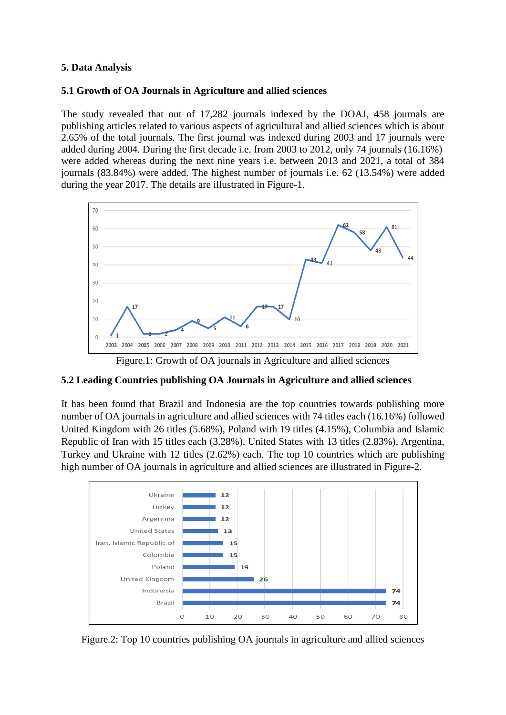#### **5. Data Analysis**

#### **5.1 Growth of OA Journals in Agriculture and allied sciences**

The study revealed that out of 17,282 journals indexed by the DOAJ, 458 journals are publishing articles related to various aspects of agricultural and allied sciences which is about 2.65% of the total journals. The first journal was indexed during 2003 and 17 journals were added during 2004. During the first decade i.e. from 2003 to 2012, only 74 journals (16.16%) were added whereas during the next nine years i.e. between 2013 and 2021, a total of 384 journals (83.84%) were added. The highest number of journals i.e. 62 (13.54%) were added during the year 2017. The details are illustrated in Figure-1.



Figure.1: Growth of OA journals in Agriculture and allied sciences

#### **5.2 Leading Countries publishing OA Journals in Agriculture and allied sciences**

It has been found that Brazil and Indonesia are the top countries towards publishing more number of OA journals in agriculture and allied sciences with 74 titles each (16.16%) followed United Kingdom with 26 titles (5.68%), Poland with 19 titles (4.15%), Columbia and Islamic Republic of Iran with 15 titles each (3.28%), United States with 13 titles (2.83%), Argentina, Turkey and Ukraine with 12 titles (2.62%) each. The top 10 countries which are publishing high number of OA journals in agriculture and allied sciences are illustrated in Figure-2.



Figure.2: Top 10 countries publishing OA journals in agriculture and allied sciences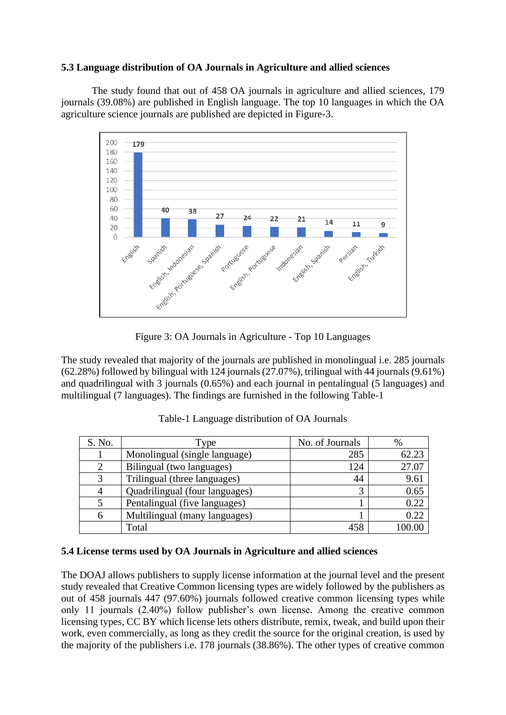#### **5.3 Language distribution of OA Journals in Agriculture and allied sciences**

The study found that out of 458 OA journals in agriculture and allied sciences, 179 journals (39.08%) are published in English language. The top 10 languages in which the OA agriculture science journals are published are depicted in Figure-3.



Figure 3: OA Journals in Agriculture - Top 10 Languages

The study revealed that majority of the journals are published in monolingual i.e. 285 journals (62.28%) followed by bilingual with 124 journals (27.07%), trilingual with 44 journals(9.61%) and quadrilingual with 3 journals (0.65%) and each journal in pentalingual (5 languages) and multilingual (7 languages). The findings are furnished in the following Table-1

| S. No.         | Type                           | No. of Journals | %     |
|----------------|--------------------------------|-----------------|-------|
|                | Monolingual (single language)  | 285             | 62.23 |
|                | Bilingual (two languages)      | 124             | 27.07 |
| 3              | Trilingual (three languages)   | 44              | 9.61  |
| $\overline{4}$ | Quadrilingual (four languages) | 3               | 0.65  |
|                | Pentalingual (five languages)  |                 | 0.22  |
| 6              | Multilingual (many languages)  |                 | 0.22  |
|                | Total                          | 458             |       |

Table-1 Language distribution of OA Journals

#### **5.4 License terms used by OA Journals in Agriculture and allied sciences**

The DOAJ allows publishers to supply license information at the journal level and the present study revealed that Creative Common licensing types are widely followed by the publishers as out of 458 journals 447 (97.60%) journals followed creative common licensing types while only 11 journals (2.40%) follow publisher's own license. Among the creative common licensing types, CC BY which license lets others distribute, remix, tweak, and build upon their work, even commercially, as long as they credit the source for the original creation, is used by the majority of the publishers i.e. 178 journals (38.86%). The other types of creative common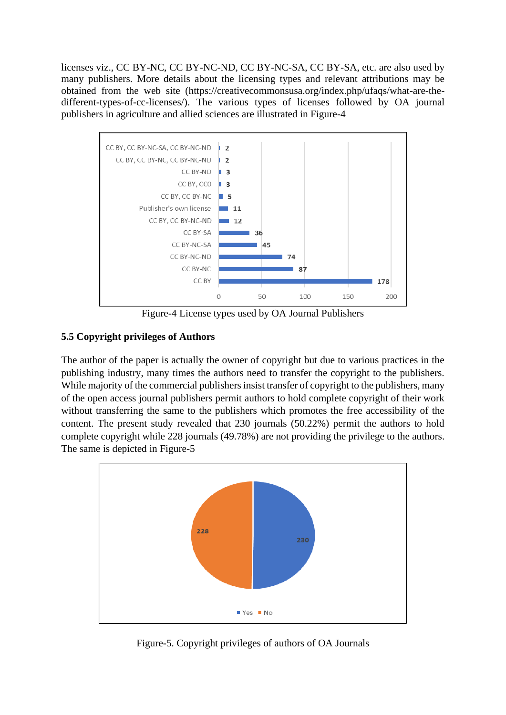licenses viz., CC BY-NC, CC BY-NC-ND, CC BY-NC-SA, CC BY-SA, etc. are also used by many publishers. More details about the licensing types and relevant attributions may be obtained from the web site (https://creativecommonsusa.org/index.php/ufaqs/what-are-thedifferent-types-of-cc-licenses/). The various types of licenses followed by OA journal publishers in agriculture and allied sciences are illustrated in Figure-4



Figure-4 License types used by OA Journal Publishers

# **5.5 Copyright privileges of Authors**

The author of the paper is actually the owner of copyright but due to various practices in the publishing industry, many times the authors need to transfer the copyright to the publishers. While majority of the commercial publishers insist transfer of copyright to the publishers, many of the open access journal publishers permit authors to hold complete copyright of their work without transferring the same to the publishers which promotes the free accessibility of the content. The present study revealed that 230 journals (50.22%) permit the authors to hold complete copyright while 228 journals (49.78%) are not providing the privilege to the authors. The same is depicted in Figure-5



Figure-5. Copyright privileges of authors of OA Journals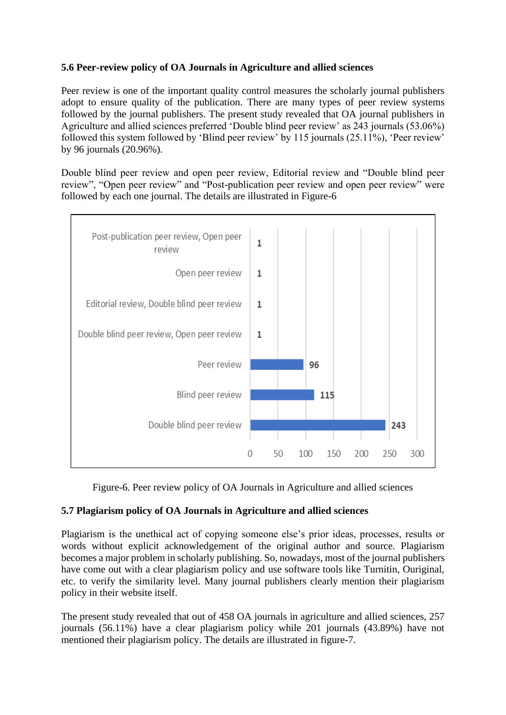# **5.6 Peer-review policy of OA Journals in Agriculture and allied sciences**

Peer review is one of the important quality control measures the scholarly journal publishers adopt to ensure quality of the publication. There are many types of peer review systems followed by the journal publishers. The present study revealed that OA journal publishers in Agriculture and allied sciences preferred 'Double blind peer review' as 243 journals (53.06%) followed this system followed by 'Blind peer review' by 115 journals (25.11%), 'Peer review' by 96 journals (20.96%).

Double blind peer review and open peer review, Editorial review and "Double blind peer review", "Open peer review" and "Post-publication peer review and open peer review" were followed by each one journal. The details are illustrated in Figure-6



Figure-6. Peer review policy of OA Journals in Agriculture and allied sciences

# **5.7 Plagiarism policy of OA Journals in Agriculture and allied sciences**

Plagiarism is the unethical act of copying someone else's prior ideas, processes, results or words without explicit acknowledgement of the original author and source. Plagiarism becomes a major problem in scholarly publishing. So, nowadays, most of the journal publishers have come out with a clear plagiarism policy and use software tools like Turnitin, Ouriginal, etc. to verify the similarity level. Many journal publishers clearly mention their plagiarism policy in their website itself.

The present study revealed that out of 458 OA journals in agriculture and allied sciences, 257 journals (56.11%) have a clear plagiarism policy while 201 journals (43.89%) have not mentioned their plagiarism policy. The details are illustrated in figure-7.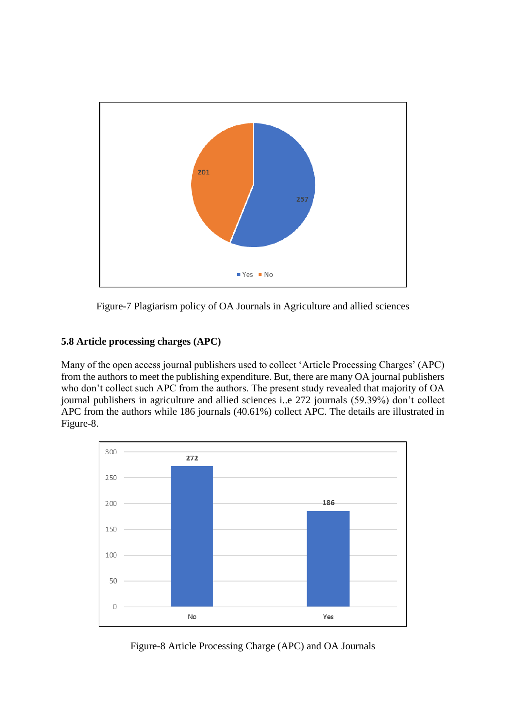

Figure-7 Plagiarism policy of OA Journals in Agriculture and allied sciences

# **5.8 Article processing charges (APC)**

Many of the open access journal publishers used to collect 'Article Processing Charges' (APC) from the authors to meet the publishing expenditure. But, there are many OA journal publishers who don't collect such APC from the authors. The present study revealed that majority of OA journal publishers in agriculture and allied sciences i..e 272 journals (59.39%) don't collect APC from the authors while 186 journals (40.61%) collect APC. The details are illustrated in Figure-8.



Figure-8 Article Processing Charge (APC) and OA Journals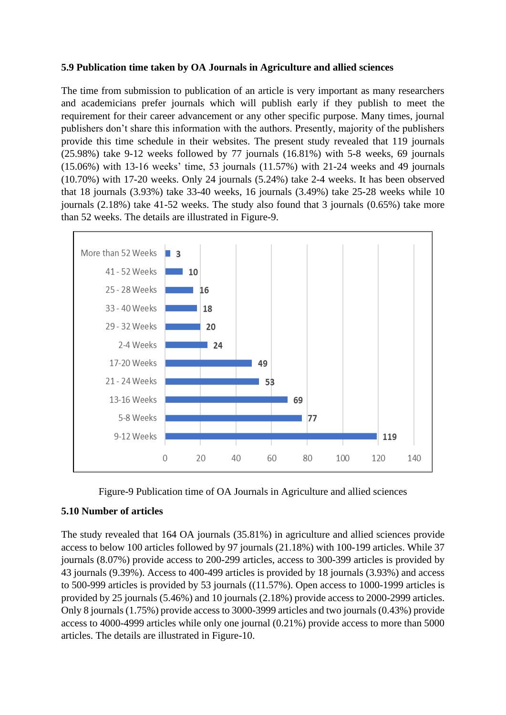#### **5.9 Publication time taken by OA Journals in Agriculture and allied sciences**

The time from submission to publication of an article is very important as many researchers and academicians prefer journals which will publish early if they publish to meet the requirement for their career advancement or any other specific purpose. Many times, journal publishers don't share this information with the authors. Presently, majority of the publishers provide this time schedule in their websites. The present study revealed that 119 journals (25.98%) take 9-12 weeks followed by 77 journals (16.81%) with 5-8 weeks, 69 journals (15.06%) with 13-16 weeks' time, 53 journals (11.57%) with 21-24 weeks and 49 journals (10.70%) with 17-20 weeks. Only 24 journals (5.24%) take 2-4 weeks. It has been observed that 18 journals (3.93%) take 33-40 weeks, 16 journals (3.49%) take 25-28 weeks while 10 journals (2.18%) take 41-52 weeks. The study also found that 3 journals (0.65%) take more than 52 weeks. The details are illustrated in Figure-9.





#### **5.10 Number of articles**

The study revealed that 164 OA journals (35.81%) in agriculture and allied sciences provide access to below 100 articles followed by 97 journals (21.18%) with 100-199 articles. While 37 journals (8.07%) provide access to 200-299 articles, access to 300-399 articles is provided by 43 journals (9.39%). Access to 400-499 articles is provided by 18 journals (3.93%) and access to 500-999 articles is provided by 53 journals ((11.57%). Open access to 1000-1999 articles is provided by 25 journals (5.46%) and 10 journals (2.18%) provide access to 2000-2999 articles. Only 8 journals (1.75%) provide access to 3000-3999 articles and two journals (0.43%) provide access to 4000-4999 articles while only one journal (0.21%) provide access to more than 5000 articles. The details are illustrated in Figure-10.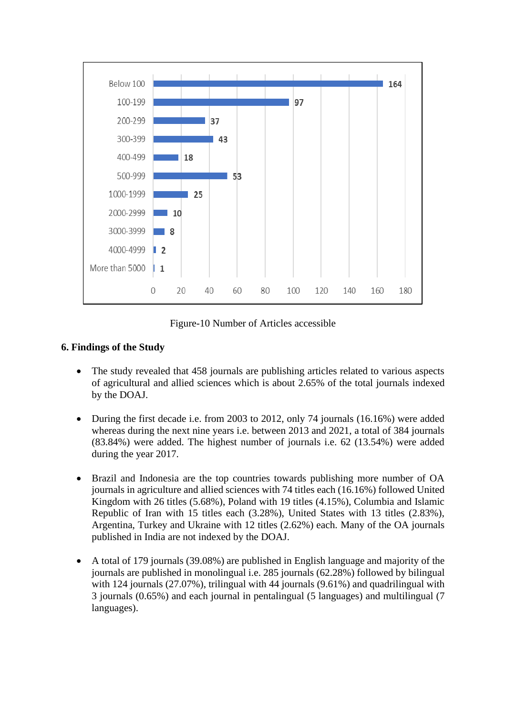

Figure-10 Number of Articles accessible

# **6. Findings of the Study**

- The study revealed that 458 journals are publishing articles related to various aspects of agricultural and allied sciences which is about 2.65% of the total journals indexed by the DOAJ.
- During the first decade i.e. from 2003 to 2012, only 74 journals (16.16%) were added whereas during the next nine years i.e. between 2013 and 2021, a total of 384 journals (83.84%) were added. The highest number of journals i.e. 62 (13.54%) were added during the year 2017.
- Brazil and Indonesia are the top countries towards publishing more number of OA journals in agriculture and allied sciences with 74 titles each (16.16%) followed United Kingdom with 26 titles (5.68%), Poland with 19 titles (4.15%), Columbia and Islamic Republic of Iran with 15 titles each (3.28%), United States with 13 titles (2.83%), Argentina, Turkey and Ukraine with 12 titles (2.62%) each. Many of the OA journals published in India are not indexed by the DOAJ.
- A total of 179 journals (39.08%) are published in English language and majority of the journals are published in monolingual i.e. 285 journals (62.28%) followed by bilingual with 124 journals (27.07%), trilingual with 44 journals (9.61%) and quadrilingual with 3 journals (0.65%) and each journal in pentalingual (5 languages) and multilingual (7 languages).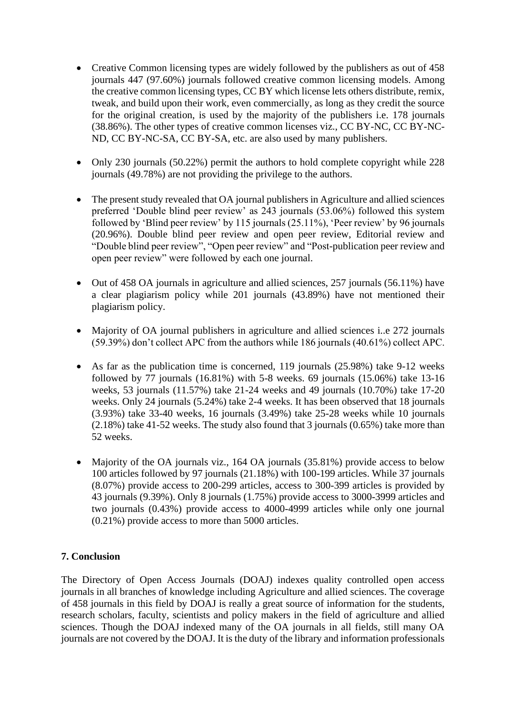- Creative Common licensing types are widely followed by the publishers as out of 458 journals 447 (97.60%) journals followed creative common licensing models. Among the creative common licensing types, CC BY which license lets others distribute, remix, tweak, and build upon their work, even commercially, as long as they credit the source for the original creation, is used by the majority of the publishers i.e. 178 journals (38.86%). The other types of creative common licenses viz., CC BY-NC, CC BY-NC-ND, CC BY-NC-SA, CC BY-SA, etc. are also used by many publishers.
- Only 230 journals (50.22%) permit the authors to hold complete copyright while 228 journals (49.78%) are not providing the privilege to the authors.
- The present study revealed that OA journal publishers in Agriculture and allied sciences preferred 'Double blind peer review' as 243 journals (53.06%) followed this system followed by 'Blind peer review' by 115 journals (25.11%), 'Peer review' by 96 journals (20.96%). Double blind peer review and open peer review, Editorial review and "Double blind peer review", "Open peer review" and "Post-publication peer review and open peer review" were followed by each one journal.
- Out of 458 OA journals in agriculture and allied sciences, 257 journals (56.11%) have a clear plagiarism policy while 201 journals (43.89%) have not mentioned their plagiarism policy.
- Majority of OA journal publishers in agriculture and allied sciences i.e 272 journals (59.39%) don't collect APC from the authors while 186 journals (40.61%) collect APC.
- As far as the publication time is concerned, 119 journals (25.98%) take 9-12 weeks followed by 77 journals  $(16.81\%)$  with 5-8 weeks. 69 journals  $(15.06\%)$  take 13-16 weeks, 53 journals (11.57%) take 21-24 weeks and 49 journals (10.70%) take 17-20 weeks. Only 24 journals (5.24%) take 2-4 weeks. It has been observed that 18 journals (3.93%) take 33-40 weeks, 16 journals (3.49%) take 25-28 weeks while 10 journals (2.18%) take 41-52 weeks. The study also found that 3 journals (0.65%) take more than 52 weeks.
- Majority of the OA journals viz., 164 OA journals (35.81%) provide access to below 100 articles followed by 97 journals (21.18%) with 100-199 articles. While 37 journals (8.07%) provide access to 200-299 articles, access to 300-399 articles is provided by 43 journals (9.39%). Only 8 journals (1.75%) provide access to 3000-3999 articles and two journals (0.43%) provide access to 4000-4999 articles while only one journal (0.21%) provide access to more than 5000 articles.

#### **7. Conclusion**

The Directory of Open Access Journals (DOAJ) indexes quality controlled open access journals in all branches of knowledge including Agriculture and allied sciences. The coverage of 458 journals in this field by DOAJ is really a great source of information for the students, research scholars, faculty, scientists and policy makers in the field of agriculture and allied sciences. Though the DOAJ indexed many of the OA journals in all fields, still many OA journals are not covered by the DOAJ. It is the duty of the library and information professionals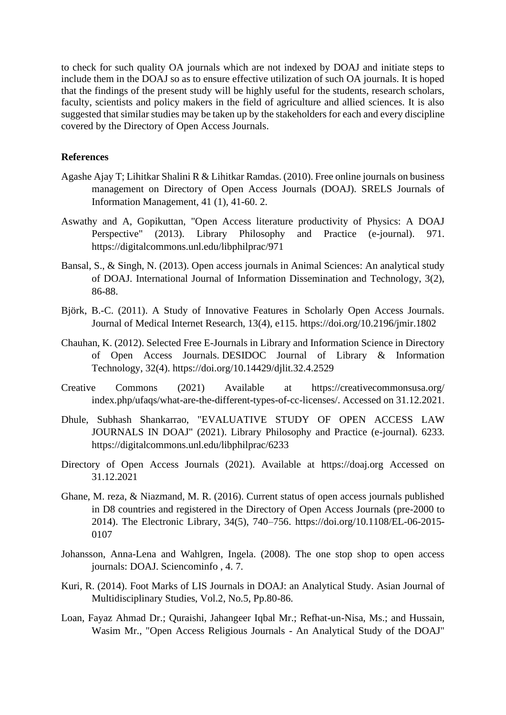to check for such quality OA journals which are not indexed by DOAJ and initiate steps to include them in the DOAJ so as to ensure effective utilization of such OA journals. It is hoped that the findings of the present study will be highly useful for the students, research scholars, faculty, scientists and policy makers in the field of agriculture and allied sciences. It is also suggested that similar studies may be taken up by the stakeholders for each and every discipline covered by the Directory of Open Access Journals.

#### **References**

- Agashe Ajay T; Lihitkar Shalini R & Lihitkar Ramdas. (2010). Free online journals on business management on Directory of Open Access Journals (DOAJ). SRELS Journals of Information Management, 41 (1), 41-60. 2.
- Aswathy and A, Gopikuttan, "Open Access literature productivity of Physics: A DOAJ Perspective" (2013). Library Philosophy and Practice (e-journal). 971. <https://digitalcommons.unl.edu/libphilprac/971>
- Bansal, S., & Singh, N. (2013). Open access journals in Animal Sciences: An analytical study of DOAJ. International Journal of Information Dissemination and Technology, 3(2), 86-88.
- Björk, B.-C. (2011). A Study of Innovative Features in Scholarly Open Access Journals. Journal of Medical Internet Research, 13(4), e115. https://doi.org/10.2196/jmir.1802
- Chauhan, K. (2012). Selected Free E-Journals in Library and Information Science in Directory of Open Access Journals. DESIDOC Journal of Library & Information Technology, 32(4).<https://doi.org/10.14429/djlit.32.4.2529>
- Creative Commons (2021) Available at [https://creativecommonsusa.org/](https://creativecommonsusa.org/%20index.php/ufaqs/what-are-the-different-types-of-cc-licenses/)  [index.php/ufaqs/what-are-the-different-types-of-cc-licenses/.](https://creativecommonsusa.org/%20index.php/ufaqs/what-are-the-different-types-of-cc-licenses/) Accessed on 31.12.2021.
- Dhule, Subhash Shankarrao, "EVALUATIVE STUDY OF OPEN ACCESS LAW JOURNALS IN DOAJ" (2021). Library Philosophy and Practice (e-journal). 6233. <https://digitalcommons.unl.edu/libphilprac/6233>
- Directory of Open Access Journals (2021). Available at [https://doaj.org](https://doaj.org/) Accessed on 31.12.2021
- Ghane, M. reza, & Niazmand, M. R. (2016). Current status of open access journals published in D8 countries and registered in the Directory of Open Access Journals (pre-2000 to 2014). The Electronic Library, 34(5), 740–756. https://doi.org/10.1108/EL-06-2015- 0107
- Johansson, Anna-Lena and Wahlgren, Ingela. (2008). The one stop shop to open access journals: DOAJ. Sciencominfo , 4. 7.
- Kuri, R. (2014). Foot Marks of LIS Journals in DOAJ: an Analytical Study. Asian Journal of Multidisciplinary Studies, Vol.2, No.5, Pp.80-86.
- Loan, Fayaz Ahmad Dr.; Quraishi, Jahangeer Iqbal Mr.; Refhat-un-Nisa, Ms.; and Hussain, Wasim Mr., "Open Access Religious Journals - An Analytical Study of the DOAJ"